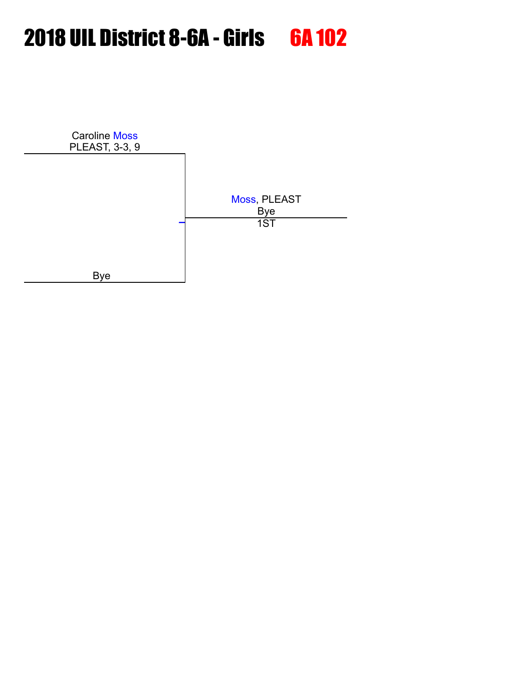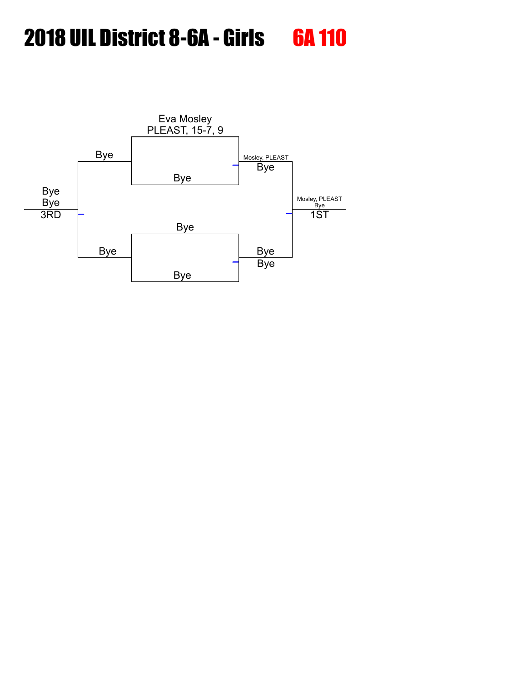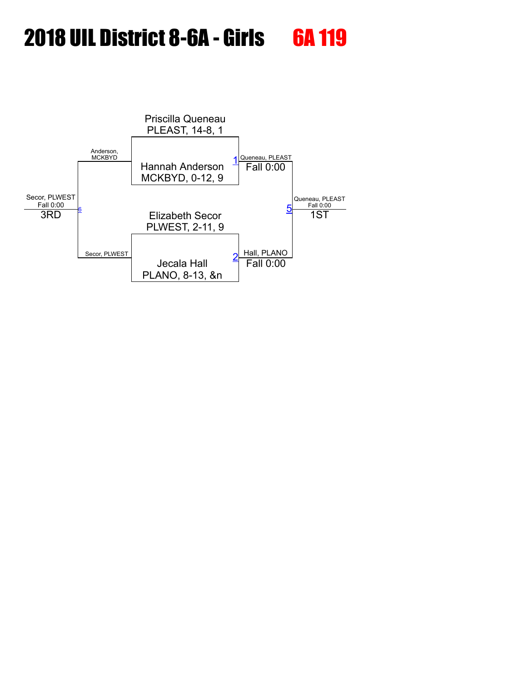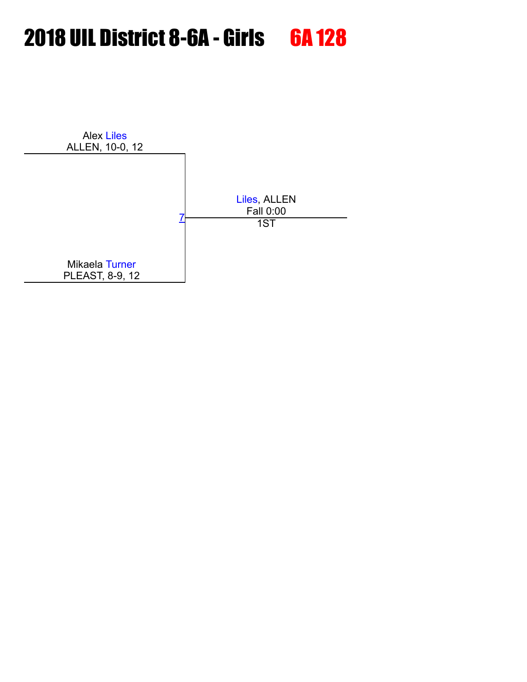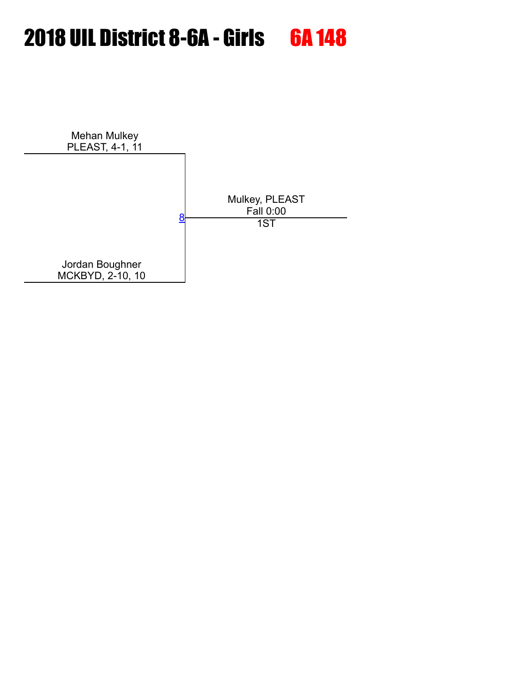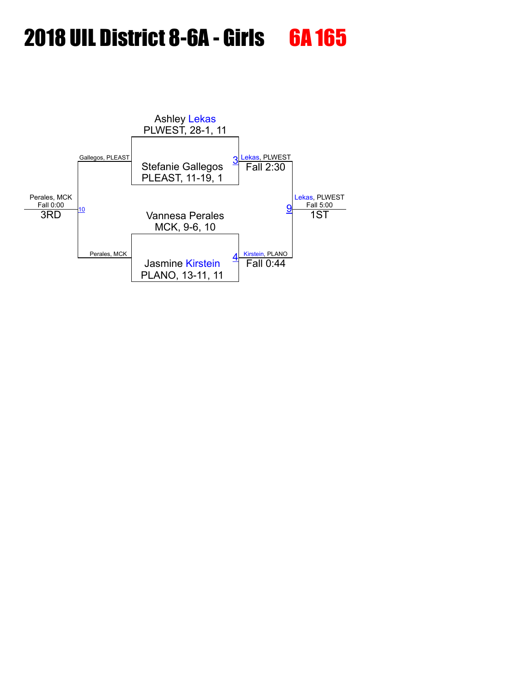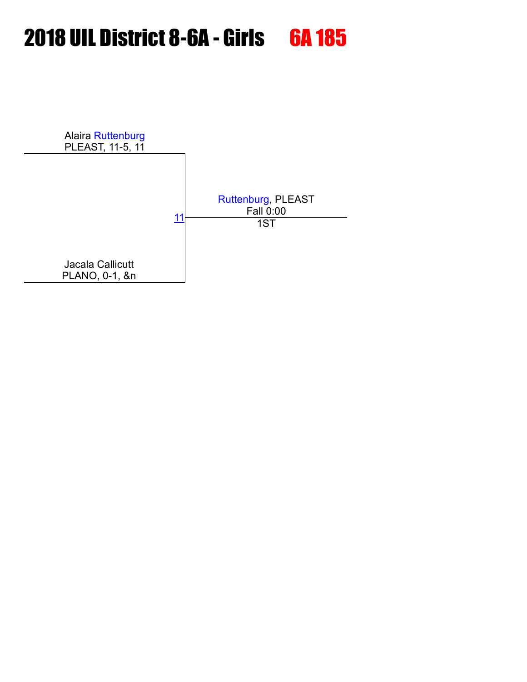